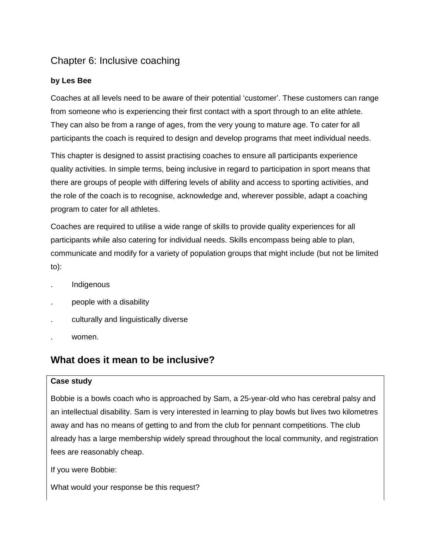## Chapter 6: Inclusive coaching

### **by Les Bee**

Coaches at all levels need to be aware of their potential 'customer'. These customers can range from someone who is experiencing their first contact with a sport through to an elite athlete. They can also be from a range of ages, from the very young to mature age. To cater for all participants the coach is required to design and develop programs that meet individual needs.

This chapter is designed to assist practising coaches to ensure all participants experience quality activities. In simple terms, being inclusive in regard to participation in sport means that there are groups of people with differing levels of ability and access to sporting activities, and the role of the coach is to recognise, acknowledge and, wherever possible, adapt a coaching program to cater for all athletes.

Coaches are required to utilise a wide range of skills to provide quality experiences for all participants while also catering for individual needs. Skills encompass being able to plan, communicate and modify for a variety of population groups that might include (but not be limited to):

- . Indigenous
- . people with a disability
- . culturally and linguistically diverse
- . women.

## **What does it mean to be inclusive?**

### **Case study**

Bobbie is a bowls coach who is approached by Sam, a 25-year-old who has cerebral palsy and an intellectual disability. Sam is very interested in learning to play bowls but lives two kilometres away and has no means of getting to and from the club for pennant competitions. The club already has a large membership widely spread throughout the local community, and registration fees are reasonably cheap.

If you were Bobbie:

What would your response be this request?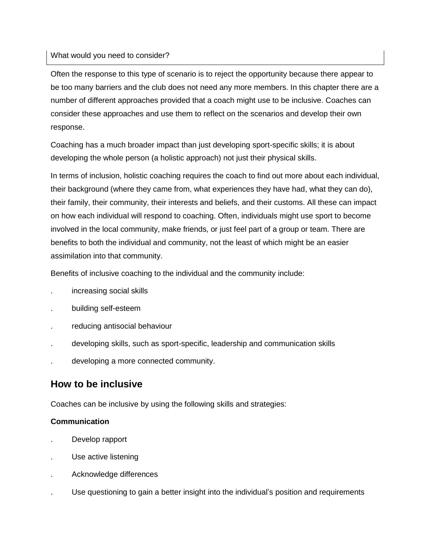### What would you need to consider?

Often the response to this type of scenario is to reject the opportunity because there appear to be too many barriers and the club does not need any more members. In this chapter there are a number of different approaches provided that a coach might use to be inclusive. Coaches can consider these approaches and use them to reflect on the scenarios and develop their own response.

Coaching has a much broader impact than just developing sport-specific skills; it is about developing the whole person (a holistic approach) not just their physical skills.

In terms of inclusion, holistic coaching requires the coach to find out more about each individual, their background (where they came from, what experiences they have had, what they can do), their family, their community, their interests and beliefs, and their customs. All these can impact on how each individual will respond to coaching. Often, individuals might use sport to become involved in the local community, make friends, or just feel part of a group or team. There are benefits to both the individual and community, not the least of which might be an easier assimilation into that community.

Benefits of inclusive coaching to the individual and the community include:

- . increasing social skills
- . building self-esteem
- . reducing antisocial behaviour
- . developing skills, such as sport-specific, leadership and communication skills
- . developing a more connected community.

## **How to be inclusive**

Coaches can be inclusive by using the following skills and strategies:

### **Communication**

- . Develop rapport
- . Use active listening
- . Acknowledge differences
- . Use questioning to gain a better insight into the individual's position and requirements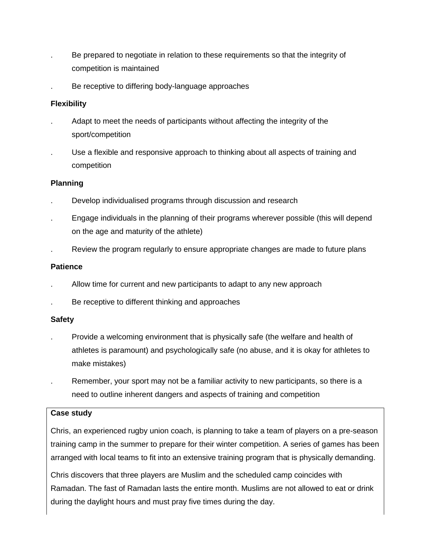- . Be prepared to negotiate in relation to these requirements so that the integrity of competition is maintained
- . Be receptive to differing body-language approaches

### **Flexibility**

- . Adapt to meet the needs of participants without affecting the integrity of the sport/competition
- Use a flexible and responsive approach to thinking about all aspects of training and competition

### **Planning**

- . Develop individualised programs through discussion and research
- . Engage individuals in the planning of their programs wherever possible (this will depend on the age and maturity of the athlete)
- . Review the program regularly to ensure appropriate changes are made to future plans

### **Patience**

- . Allow time for current and new participants to adapt to any new approach
- Be receptive to different thinking and approaches

### **Safety**

- . Provide a welcoming environment that is physically safe (the welfare and health of athletes is paramount) and psychologically safe (no abuse, and it is okay for athletes to make mistakes)
- . Remember, your sport may not be a familiar activity to new participants, so there is a need to outline inherent dangers and aspects of training and competition

### **Case study**

Chris, an experienced rugby union coach, is planning to take a team of players on a pre-season training camp in the summer to prepare for their winter competition. A series of games has been arranged with local teams to fit into an extensive training program that is physically demanding.

Chris discovers that three players are Muslim and the scheduled camp coincides with Ramadan. The fast of Ramadan lasts the entire month. Muslims are not allowed to eat or drink during the daylight hours and must pray five times during the day.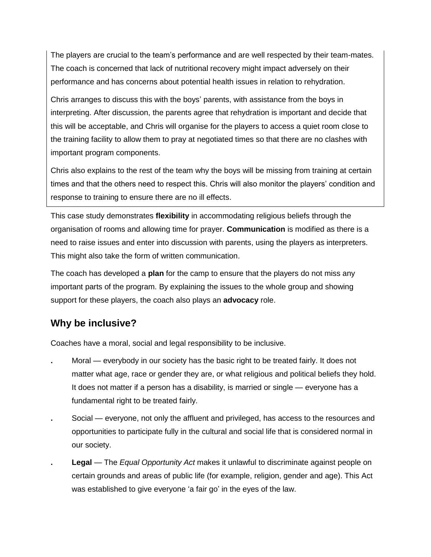The players are crucial to the team's performance and are well respected by their team-mates. The coach is concerned that lack of nutritional recovery might impact adversely on their performance and has concerns about potential health issues in relation to rehydration.

Chris arranges to discuss this with the boys' parents, with assistance from the boys in interpreting. After discussion, the parents agree that rehydration is important and decide that this will be acceptable, and Chris will organise for the players to access a quiet room close to the training facility to allow them to pray at negotiated times so that there are no clashes with important program components.

Chris also explains to the rest of the team why the boys will be missing from training at certain times and that the others need to respect this. Chris will also monitor the players' condition and response to training to ensure there are no ill effects.

This case study demonstrates **flexibility** in accommodating religious beliefs through the organisation of rooms and allowing time for prayer. **Communication** is modified as there is a need to raise issues and enter into discussion with parents, using the players as interpreters. This might also take the form of written communication.

The coach has developed a **plan** for the camp to ensure that the players do not miss any important parts of the program. By explaining the issues to the whole group and showing support for these players, the coach also plays an **advocacy** role.

## **Why be inclusive?**

Coaches have a moral, social and legal responsibility to be inclusive.

- **.** Moral everybody in our society has the basic right to be treated fairly. It does not matter what age, race or gender they are, or what religious and political beliefs they hold. It does not matter if a person has a disability, is married or single — everyone has a fundamental right to be treated fairly.
- **.** Social everyone, not only the affluent and privileged, has access to the resources and opportunities to participate fully in the cultural and social life that is considered normal in our society.
- **. Legal** The *Equal Opportunity Act* makes it unlawful to discriminate against people on certain grounds and areas of public life (for example, religion, gender and age). This Act was established to give everyone 'a fair go' in the eyes of the law.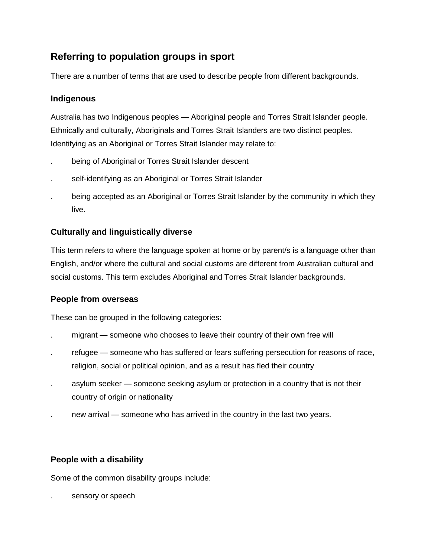# **Referring to population groups in sport**

There are a number of terms that are used to describe people from different backgrounds.

## **Indigenous**

Australia has two Indigenous peoples — Aboriginal people and Torres Strait Islander people. Ethnically and culturally, Aboriginals and Torres Strait Islanders are two distinct peoples. Identifying as an Aboriginal or Torres Strait Islander may relate to:

- being of Aboriginal or Torres Strait Islander descent
- self-identifying as an Aboriginal or Torres Strait Islander
- . being accepted as an Aboriginal or Torres Strait Islander by the community in which they live.

## **Culturally and linguistically diverse**

This term refers to where the language spoken at home or by parent/s is a language other than English, and/or where the cultural and social customs are different from Australian cultural and social customs. This term excludes Aboriginal and Torres Strait Islander backgrounds.

### **People from overseas**

These can be grouped in the following categories:

- . migrant *—* someone who chooses to leave their country of their own free will
- refugee someone who has suffered or fears suffering persecution for reasons of race, religion, social or political opinion, and as a result has fled their country
- . asylum seeker someone seeking asylum or protection in a country that is not their country of origin or nationality
- . new arrival someone who has arrived in the country in the last two years.

### **People with a disability**

Some of the common disability groups include:

sensory or speech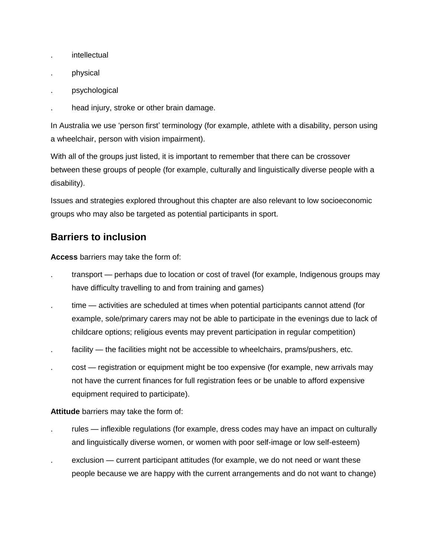- . intellectual
- . physical
- . psychological
- . head injury, stroke or other brain damage.

In Australia we use 'person first' terminology (for example, athlete with a disability, person using a wheelchair, person with vision impairment).

With all of the groups just listed, it is important to remember that there can be crossover between these groups of people (for example, culturally and linguistically diverse people with a disability).

Issues and strategies explored throughout this chapter are also relevant to low socioeconomic groups who may also be targeted as potential participants in sport.

# **Barriers to inclusion**

**Access** barriers may take the form of:

- transport perhaps due to location or cost of travel (for example, Indigenous groups may have difficulty travelling to and from training and games)
- time activities are scheduled at times when potential participants cannot attend (for example, sole/primary carers may not be able to participate in the evenings due to lack of childcare options; religious events may prevent participation in regular competition)
- facility the facilities might not be accessible to wheelchairs, prams/pushers, etc.
- cost registration or equipment might be too expensive (for example, new arrivals may not have the current finances for full registration fees or be unable to afford expensive equipment required to participate).

**Attitude** barriers may take the form of:

- rules inflexible regulations (for example, dress codes may have an impact on culturally and linguistically diverse women, or women with poor self-image or low self-esteem)
- exclusion current participant attitudes (for example, we do not need or want these people because we are happy with the current arrangements and do not want to change)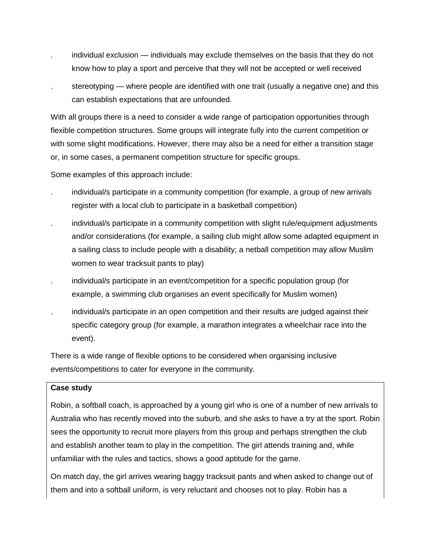- . individual exclusion individuals may exclude themselves on the basis that they do not know how to play a sport and perceive that they will not be accepted or well received
- stereotyping where people are identified with one trait (usually a negative one) and this can establish expectations that are unfounded.

With all groups there is a need to consider a wide range of participation opportunities through flexible competition structures. Some groups will integrate fully into the current competition or with some slight modifications. However, there may also be a need for either a transition stage or, in some cases, a permanent competition structure for specific groups.

Some examples of this approach include:

- . individual/s participate in a community competition (for example, a group of new arrivals register with a local club to participate in a basketball competition)
- . individual/s participate in a community competition with slight rule/equipment adjustments and/or considerations (for example, a sailing club might allow some adapted equipment in a sailing class to include people with a disability; a netball competition may allow Muslim women to wear tracksuit pants to play)
- . individual/s participate in an event/competition for a specific population group (for example, a swimming club organises an event specifically for Muslim women)
- . individual/s participate in an open competition and their results are judged against their specific category group (for example, a marathon integrates a wheelchair race into the event).

There is a wide range of flexible options to be considered when organising inclusive events/competitions to cater for everyone in the community.

### **Case study**

Robin, a softball coach, is approached by a young girl who is one of a number of new arrivals to Australia who has recently moved into the suburb, and she asks to have a try at the sport. Robin sees the opportunity to recruit more players from this group and perhaps strengthen the club and establish another team to play in the competition. The girl attends training and, while unfamiliar with the rules and tactics, shows a good aptitude for the game.

On match day, the girl arrives wearing baggy tracksuit pants and when asked to change out of them and into a softball uniform, is very reluctant and chooses not to play. Robin has a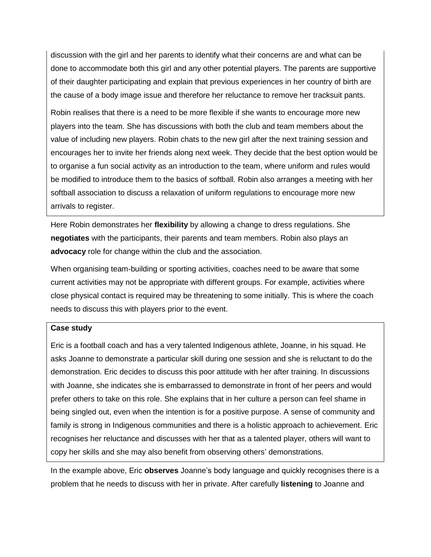discussion with the girl and her parents to identify what their concerns are and what can be done to accommodate both this girl and any other potential players. The parents are supportive of their daughter participating and explain that previous experiences in her country of birth are the cause of a body image issue and therefore her reluctance to remove her tracksuit pants.

Robin realises that there is a need to be more flexible if she wants to encourage more new players into the team. She has discussions with both the club and team members about the value of including new players. Robin chats to the new girl after the next training session and encourages her to invite her friends along next week. They decide that the best option would be to organise a fun social activity as an introduction to the team, where uniform and rules would be modified to introduce them to the basics of softball. Robin also arranges a meeting with her softball association to discuss a relaxation of uniform regulations to encourage more new arrivals to register.

Here Robin demonstrates her **flexibility** by allowing a change to dress regulations. She **negotiates** with the participants, their parents and team members. Robin also plays an **advocacy** role for change within the club and the association.

When organising team-building or sporting activities, coaches need to be aware that some current activities may not be appropriate with different groups. For example, activities where close physical contact is required may be threatening to some initially. This is where the coach needs to discuss this with players prior to the event.

### **Case study**

Eric is a football coach and has a very talented Indigenous athlete, Joanne, in his squad. He asks Joanne to demonstrate a particular skill during one session and she is reluctant to do the demonstration. Eric decides to discuss this poor attitude with her after training. In discussions with Joanne, she indicates she is embarrassed to demonstrate in front of her peers and would prefer others to take on this role. She explains that in her culture a person can feel shame in being singled out, even when the intention is for a positive purpose. A sense of community and family is strong in Indigenous communities and there is a holistic approach to achievement. Eric recognises her reluctance and discusses with her that as a talented player, others will want to copy her skills and she may also benefit from observing others' demonstrations.

In the example above, Eric **observes** Joanne's body language and quickly recognises there is a problem that he needs to discuss with her in private. After carefully **listening** to Joanne and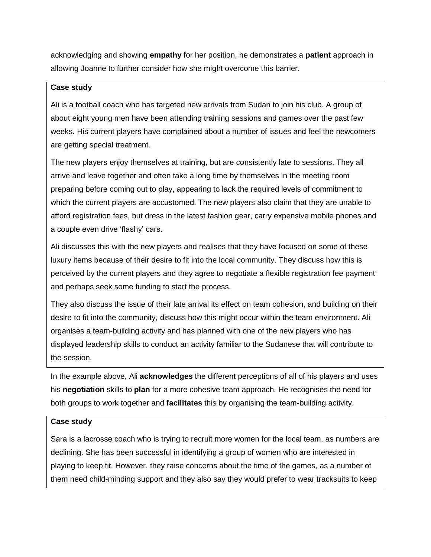acknowledging and showing **empathy** for her position, he demonstrates a **patient** approach in allowing Joanne to further consider how she might overcome this barrier.

#### **Case study**

Ali is a football coach who has targeted new arrivals from Sudan to join his club. A group of about eight young men have been attending training sessions and games over the past few weeks. His current players have complained about a number of issues and feel the newcomers are getting special treatment.

The new players enjoy themselves at training, but are consistently late to sessions. They all arrive and leave together and often take a long time by themselves in the meeting room preparing before coming out to play, appearing to lack the required levels of commitment to which the current players are accustomed. The new players also claim that they are unable to afford registration fees, but dress in the latest fashion gear, carry expensive mobile phones and a couple even drive 'flashy' cars.

Ali discusses this with the new players and realises that they have focused on some of these luxury items because of their desire to fit into the local community. They discuss how this is perceived by the current players and they agree to negotiate a flexible registration fee payment and perhaps seek some funding to start the process.

They also discuss the issue of their late arrival its effect on team cohesion, and building on their desire to fit into the community, discuss how this might occur within the team environment. Ali organises a team-building activity and has planned with one of the new players who has displayed leadership skills to conduct an activity familiar to the Sudanese that will contribute to the session.

In the example above, Ali **acknowledges** the different perceptions of all of his players and uses his **negotiation** skills to **plan** for a more cohesive team approach. He recognises the need for both groups to work together and **facilitates** this by organising the team-building activity.

### **Case study**

Sara is a lacrosse coach who is trying to recruit more women for the local team, as numbers are declining. She has been successful in identifying a group of women who are interested in playing to keep fit. However, they raise concerns about the time of the games, as a number of them need child-minding support and they also say they would prefer to wear tracksuits to keep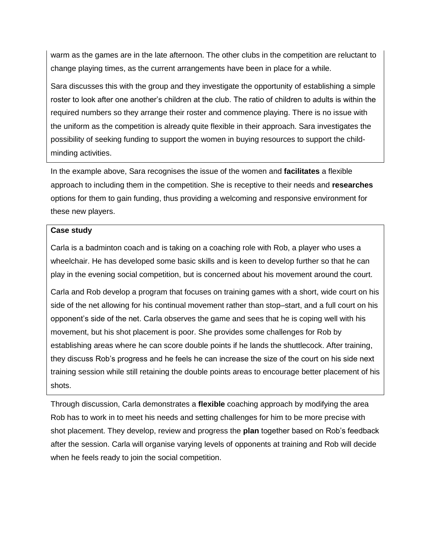warm as the games are in the late afternoon. The other clubs in the competition are reluctant to change playing times, as the current arrangements have been in place for a while.

Sara discusses this with the group and they investigate the opportunity of establishing a simple roster to look after one another's children at the club. The ratio of children to adults is within the required numbers so they arrange their roster and commence playing. There is no issue with the uniform as the competition is already quite flexible in their approach. Sara investigates the possibility of seeking funding to support the women in buying resources to support the childminding activities.

In the example above, Sara recognises the issue of the women and **facilitates** a flexible approach to including them in the competition. She is receptive to their needs and **researches** options for them to gain funding, thus providing a welcoming and responsive environment for these new players.

### **Case study**

Carla is a badminton coach and is taking on a coaching role with Rob, a player who uses a wheelchair. He has developed some basic skills and is keen to develop further so that he can play in the evening social competition, but is concerned about his movement around the court.

Carla and Rob develop a program that focuses on training games with a short, wide court on his side of the net allowing for his continual movement rather than stop–start, and a full court on his opponent's side of the net. Carla observes the game and sees that he is coping well with his movement, but his shot placement is poor. She provides some challenges for Rob by establishing areas where he can score double points if he lands the shuttlecock. After training, they discuss Rob's progress and he feels he can increase the size of the court on his side next training session while still retaining the double points areas to encourage better placement of his shots.

Through discussion, Carla demonstrates a **flexible** coaching approach by modifying the area Rob has to work in to meet his needs and setting challenges for him to be more precise with shot placement. They develop, review and progress the **plan** together based on Rob's feedback after the session. Carla will organise varying levels of opponents at training and Rob will decide when he feels ready to join the social competition.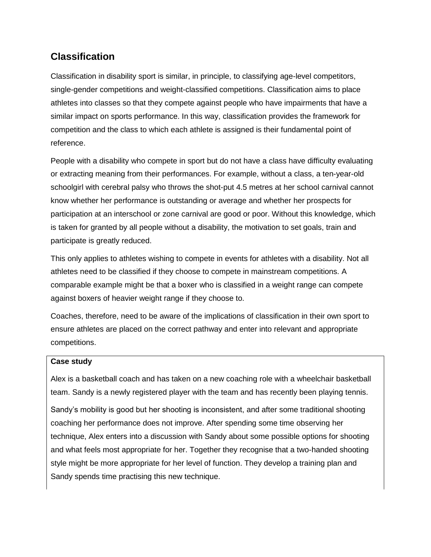## **Classification**

Classification in disability sport is similar, in principle, to classifying age-level competitors, single-gender competitions and weight-classified competitions. Classification aims to place athletes into classes so that they compete against people who have impairments that have a similar impact on sports performance. In this way, classification provides the framework for competition and the class to which each athlete is assigned is their fundamental point of reference.

People with a disability who compete in sport but do not have a class have difficulty evaluating or extracting meaning from their performances. For example, without a class, a ten-year-old schoolgirl with cerebral palsy who throws the shot-put 4.5 metres at her school carnival cannot know whether her performance is outstanding or average and whether her prospects for participation at an interschool or zone carnival are good or poor. Without this knowledge, which is taken for granted by all people without a disability, the motivation to set goals, train and participate is greatly reduced.

This only applies to athletes wishing to compete in events for athletes with a disability. Not all athletes need to be classified if they choose to compete in mainstream competitions. A comparable example might be that a boxer who is classified in a weight range can compete against boxers of heavier weight range if they choose to.

Coaches, therefore, need to be aware of the implications of classification in their own sport to ensure athletes are placed on the correct pathway and enter into relevant and appropriate competitions.

### **Case study**

Alex is a basketball coach and has taken on a new coaching role with a wheelchair basketball team. Sandy is a newly registered player with the team and has recently been playing tennis.

Sandy's mobility is good but her shooting is inconsistent, and after some traditional shooting coaching her performance does not improve. After spending some time observing her technique, Alex enters into a discussion with Sandy about some possible options for shooting and what feels most appropriate for her. Together they recognise that a two-handed shooting style might be more appropriate for her level of function. They develop a training plan and Sandy spends time practising this new technique.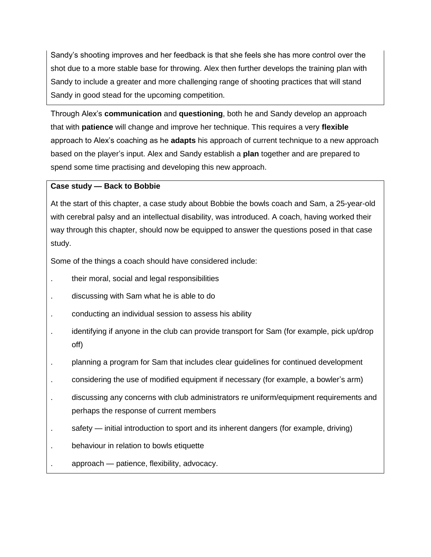Sandy's shooting improves and her feedback is that she feels she has more control over the shot due to a more stable base for throwing. Alex then further develops the training plan with Sandy to include a greater and more challenging range of shooting practices that will stand Sandy in good stead for the upcoming competition.

Through Alex's **communication** and **questioning**, both he and Sandy develop an approach that with **patience** will change and improve her technique. This requires a very **flexible** approach to Alex's coaching as he **adapts** his approach of current technique to a new approach based on the player's input. Alex and Sandy establish a **plan** together and are prepared to spend some time practising and developing this new approach.

### **Case study — Back to Bobbie**

At the start of this chapter, a case study about Bobbie the bowls coach and Sam, a 25-year-old with cerebral palsy and an intellectual disability, was introduced. A coach, having worked their way through this chapter, should now be equipped to answer the questions posed in that case study.

Some of the things a coach should have considered include:

- . their moral, social and legal responsibilities
- . discussing with Sam what he is able to do
- . conducting an individual session to assess his ability
- identifying if anyone in the club can provide transport for Sam (for example, pick up/drop off)
- . planning a program for Sam that includes clear guidelines for continued development
- . considering the use of modified equipment if necessary (for example, a bowler's arm)
- . discussing any concerns with club administrators re uniform/equipment requirements and perhaps the response of current members
- safety initial introduction to sport and its inherent dangers (for example, driving)
- . behaviour in relation to bowls etiquette
- . approach patience, flexibility, advocacy.